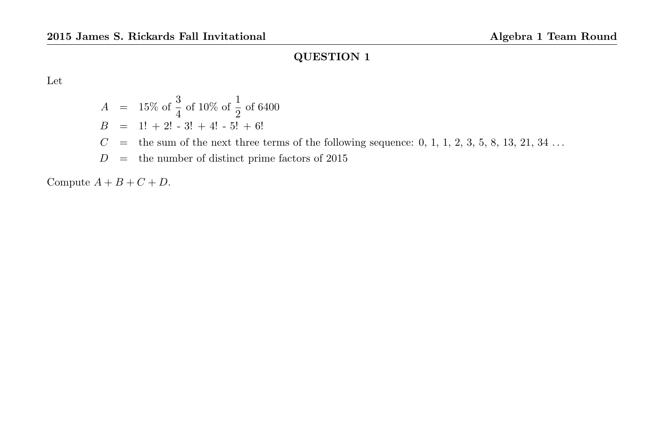Let

$$
A = 15\% \text{ of } \frac{3}{4} \text{ of } 10\% \text{ of } \frac{1}{2} \text{ of } 6400
$$
  
\n
$$
B = 1! + 2! - 3! + 4! - 5! + 6!
$$
  
\n
$$
C = \text{the sum of the next three terms of the following sequence: } 0, 1, 1, 2, 3, 5, 8, 13, 21, 34 ...
$$
  
\n
$$
D = \text{the number of distinct prime factors of } 2015
$$

Compute  $A + B + C + D$ .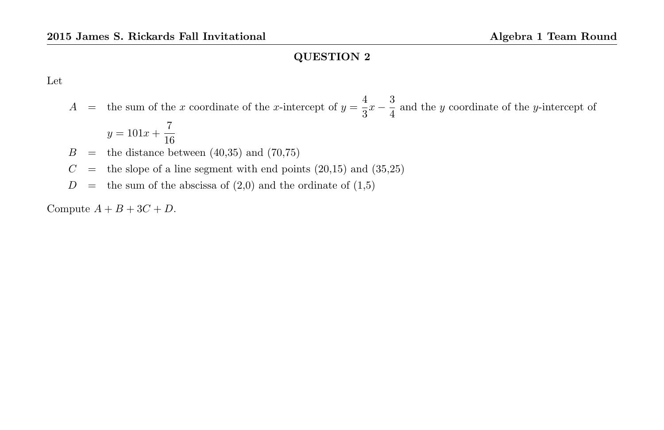Let

 $A =$  the sum of the x coordinate of the x-intercept of  $y = \frac{4}{9}$  $rac{4}{3}x-\frac{3}{4}$  $\frac{3}{4}$  and the y coordinate of the y-intercept of

$$
y = 101x + \frac{7}{16}
$$

- $B =$  the distance between  $(40,35)$  and  $(70,75)$
- $C =$  the slope of a line segment with end points  $(20,15)$  and  $(35,25)$
- $D =$  the sum of the abscissa of  $(2,0)$  and the ordinate of  $(1,5)$

Compute  $A + B + 3C + D$ .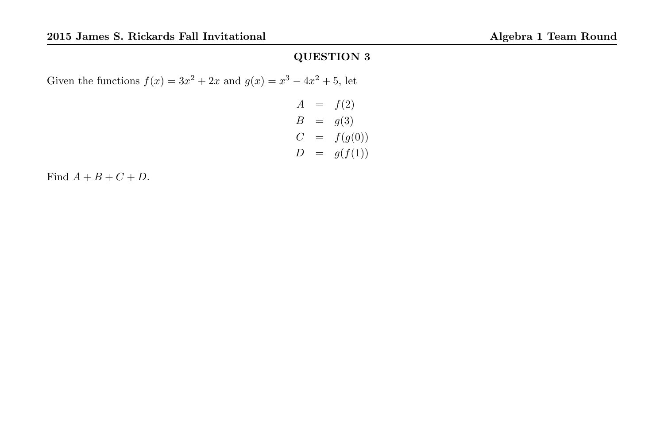Given the functions  $f(x) = 3x^2 + 2x$  and  $g(x) = x^3 - 4x^2 + 5$ , let

$$
A = f(2)
$$
  
\n
$$
B = g(3)
$$
  
\n
$$
C = f(g(0))
$$
  
\n
$$
D = g(f(1))
$$

Find  $A + B + C + D$ .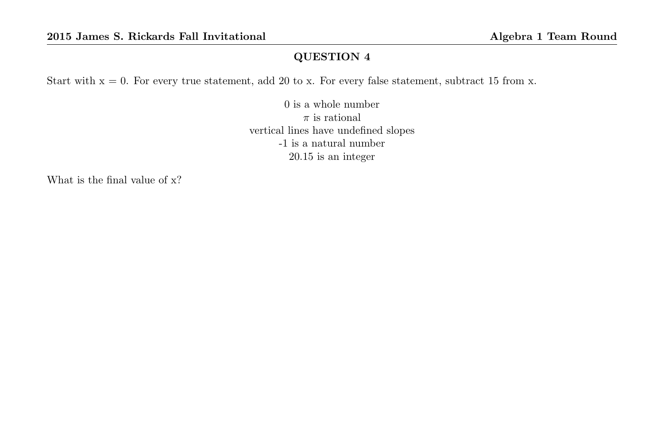Start with  $x = 0$ . For every true statement, add 20 to x. For every false statement, subtract 15 from x.

0 is a whole number  $\pi$  is rational vertical lines have undefined slopes -1 is a natural number 20.15 is an integer

What is the final value of x?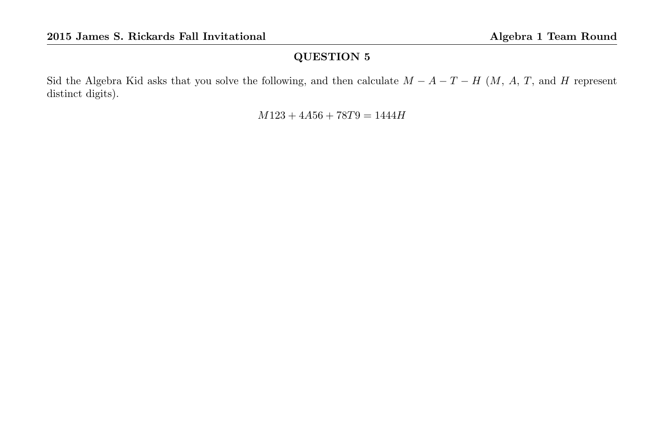Sid the Algebra Kid asks that you solve the following, and then calculate  $M - A - T - H$  (M, A, T, and H represent distinct digits).

 $M123 + 4A56 + 78T9 = 1444H$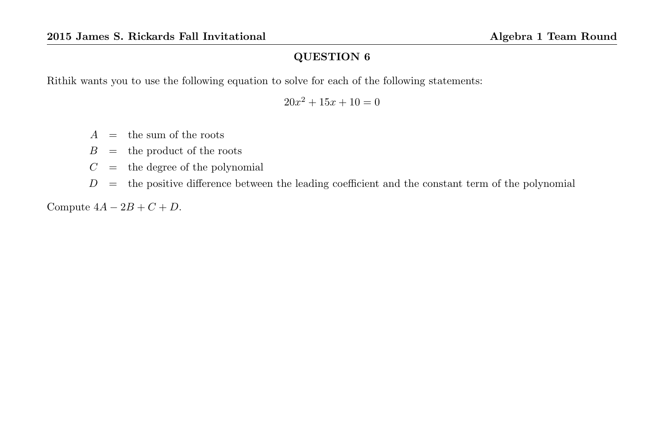Rithik wants you to use the following equation to solve for each of the following statements:

 $20x^2 + 15x + 10 = 0$ 

- $A =$  the sum of the roots
- $B =$  the product of the roots
- $C =$  the degree of the polynomial
- $D =$  the positive difference between the leading coefficient and the constant term of the polynomial

Compute  $4A - 2B + C + D$ .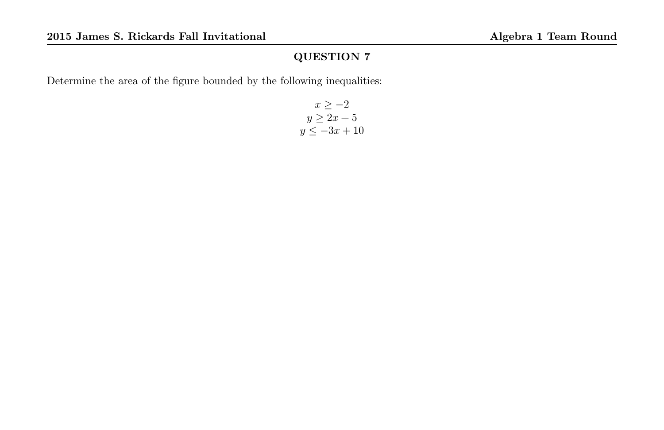Determine the area of the figure bounded by the following inequalities:

$$
x \ge -2
$$
  

$$
y \ge 2x + 5
$$
  

$$
y \le -3x + 10
$$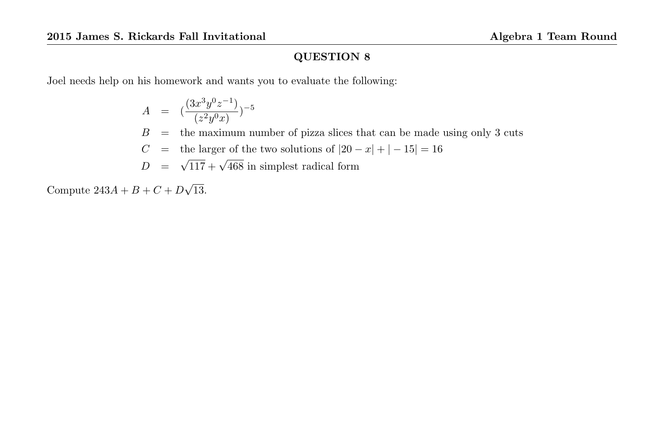Joel needs help on his homework and wants you to evaluate the following:

$$
A = \left(\frac{(3x^3y^0z^{-1})}{(z^2y^0x)}\right)^{-5}
$$
  
\n
$$
B = \text{the maximum number of pizza slices that can be made using only 3 cuts}
$$
  
\n
$$
C = \text{the larger of the two solutions of } |20 - x| + |-15| = 16
$$
  
\n
$$
D = \sqrt{117} + \sqrt{468} \text{ in simplest radical form}
$$

Compute  $243A + B + C + D$ √ 13.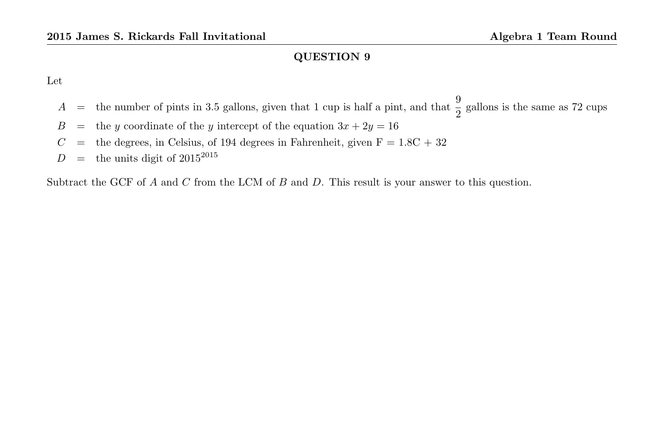Let

- $A =$  the number of pints in 3.5 gallons, given that 1 cup is half a pint, and that  $\frac{9}{2}$  gallons is the same as 72 cups
- $B =$  the y coordinate of the y intercept of the equation  $3x + 2y = 16$
- $C =$  the degrees, in Celsius, of 194 degrees in Fahrenheit, given  $F = 1.8C + 32$
- $D =$  the units digit of 2015<sup>2015</sup>

Subtract the GCF of A and C from the LCM of B and D. This result is your answer to this question.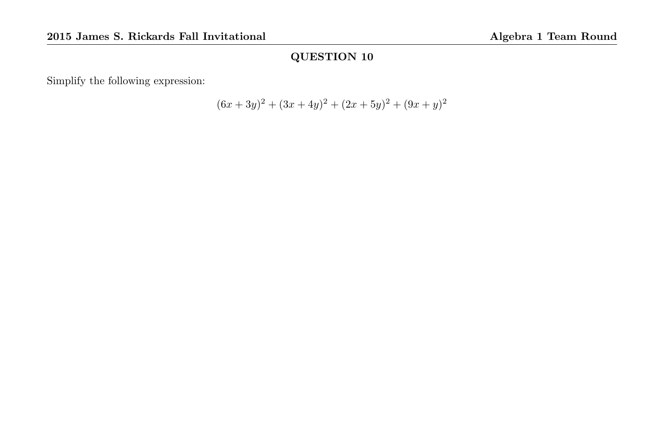Simplify the following expression:

$$
(6x + 3y)^{2} + (3x + 4y)^{2} + (2x + 5y)^{2} + (9x + y)^{2}
$$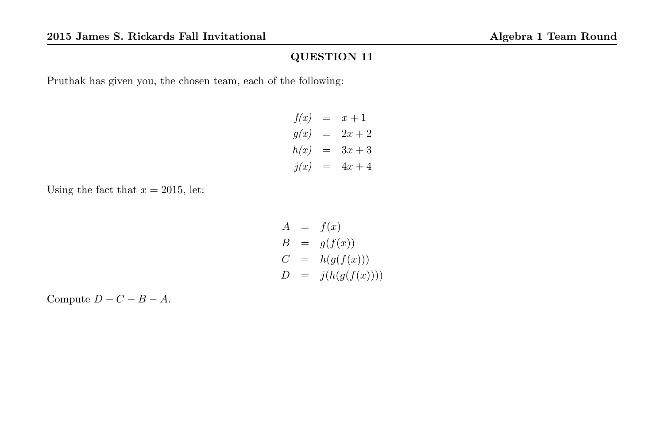Pruthak has given you, the chosen team, each of the following:

$$
f(x) = x + 1\n g(x) = 2x + 2\n h(x) = 3x + 3\n j(x) = 4x + 4
$$

Using the fact that  $x = 2015$ , let:

$$
A = f(x)
$$
  
\n
$$
B = g(f(x))
$$
  
\n
$$
C = h(g(f(x)))
$$
  
\n
$$
D = j(h(g(f(x))))
$$

Compute  $D - C - B - A$ .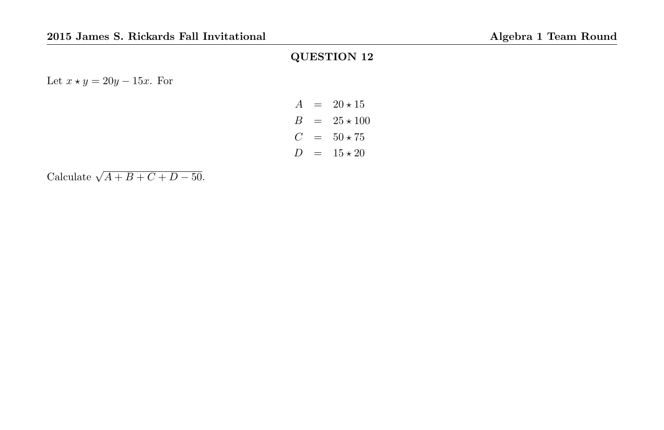Let  $x \star y = 20y - 15x$ . For

$$
A = 20 \times 15
$$
  
\n
$$
B = 25 \times 100
$$
  
\n
$$
C = 50 \times 75
$$
  
\n
$$
D = 15 \times 20
$$

Calculate  $\sqrt{A+B+C+D-50}$ .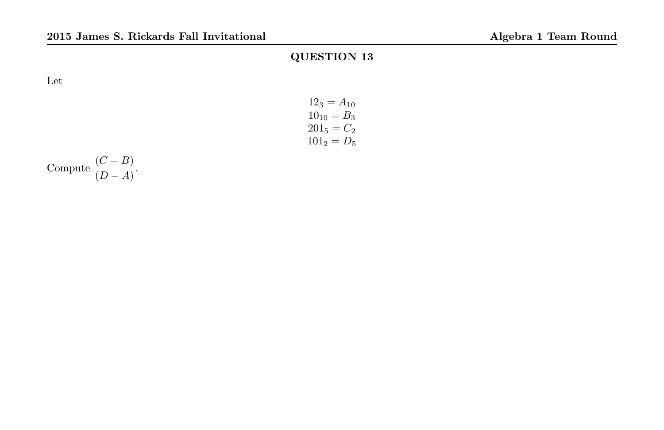Let

| $12_3 = A_{10}$ |  |
|-----------------|--|
| $10_{10} = B_3$ |  |
| $201_5 = C_2$   |  |
| $101_2 = D_5$   |  |